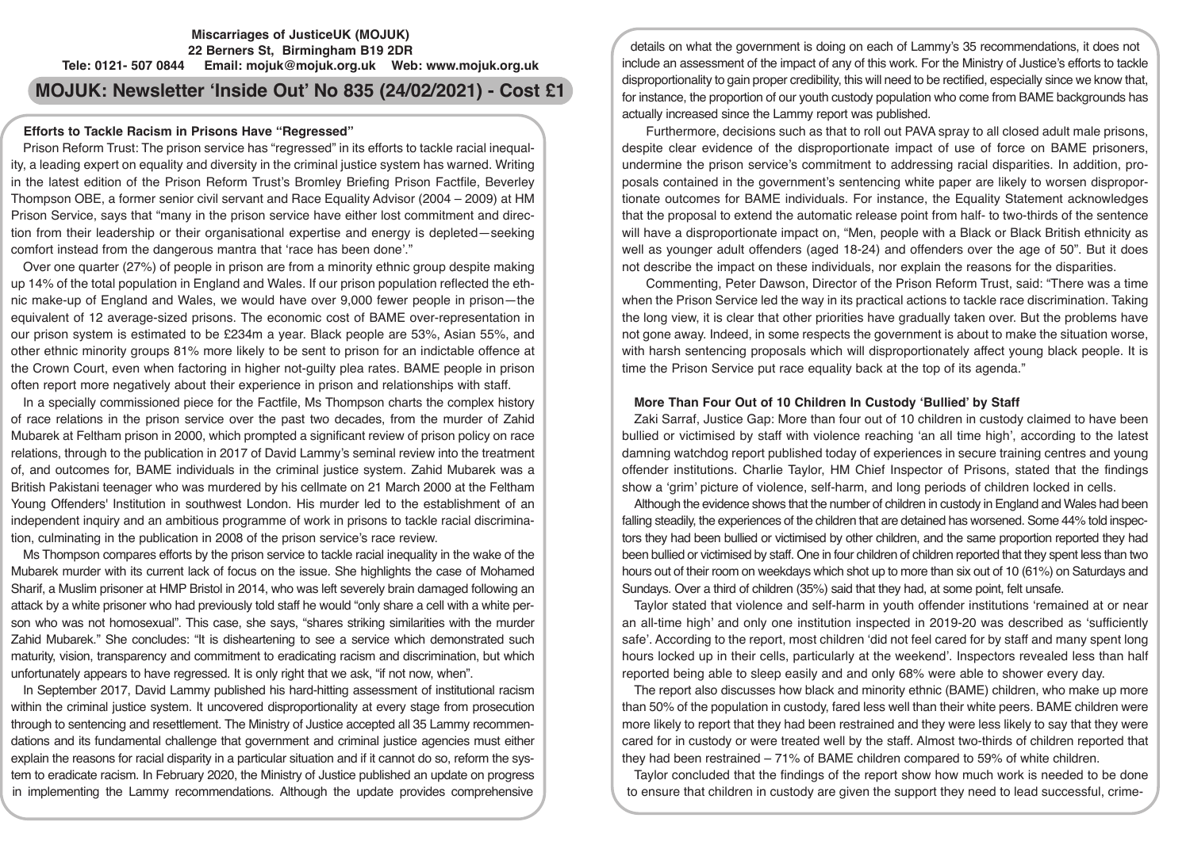# **Miscarriages of JusticeUK (MOJUK) 22 Berners St, Birmingham B19 2DR Tele: 0121- 507 0844 Email: mojuk@mojuk.org.uk Web: www.mojuk.org.uk**

# **MOJUK: Newsletter 'Inside Out' No 835 (24/02/2021) - Cost £1**

# **Efforts to Tackle Racism in Prisons Have "Regressed"**

Prison Reform Trust: The prison service has "regressed" in its efforts to tackle racial inequality, a leading expert on equality and diversity in the criminal justice system has warned. Writing in the latest edition of the Prison Reform Trust's Bromley Briefing Prison Factfile, Beverley Thompson OBE, a former senior civil servant and Race Equality Advisor (2004 – 2009) at HM Prison Service, says that "many in the prison service have either lost commitment and direction from their leadership or their organisational expertise and energy is depleted—seeking comfort instead from the dangerous mantra that 'race has been done'."

Over one quarter (27%) of people in prison are from a minority ethnic group despite making up 14% of the total population in England and Wales. If our prison population reflected the ethnic make-up of England and Wales, we would have over 9,000 fewer people in prison—the equivalent of 12 average-sized prisons. The economic cost of BAME over-representation in our prison system is estimated to be £234m a year. Black people are 53%, Asian 55%, and other ethnic minority groups 81% more likely to be sent to prison for an indictable offence at the Crown Court, even when factoring in higher not-guilty plea rates. BAME people in prison often report more negatively about their experience in prison and relationships with staff.

In a specially commissioned piece for the Factfile, Ms Thompson charts the complex history of race relations in the prison service over the past two decades, from the murder of Zahid Mubarek at Feltham prison in 2000, which prompted a significant review of prison policy on race relations, through to the publication in 2017 of David Lammy's seminal review into the treatment of, and outcomes for, BAME individuals in the criminal justice system. Zahid Mubarek was a British Pakistani teenager who was murdered by his cellmate on 21 March 2000 at the Feltham Young Offenders' Institution in southwest London. His murder led to the establishment of an independent inquiry and an ambitious programme of work in prisons to tackle racial discrimination, culminating in the publication in 2008 of the prison service's race review.

Ms Thompson compares efforts by the prison service to tackle racial inequality in the wake of the Mubarek murder with its current lack of focus on the issue. She highlights the case of Mohamed Sharif, a Muslim prisoner at HMP Bristol in 2014, who was left severely brain damaged following an attack by a white prisoner who had previously told staff he would "only share a cell with a white person who was not homosexual". This case, she says, "shares striking similarities with the murder Zahid Mubarek." She concludes: "It is disheartening to see a service which demonstrated such maturity, vision, transparency and commitment to eradicating racism and discrimination, but which unfortunately appears to have regressed. It is only right that we ask, "if not now, when".

In September 2017, David Lammy published his hard-hitting assessment of institutional racism within the criminal justice system. It uncovered disproportionality at every stage from prosecution through to sentencing and resettlement. The Ministry of Justice accepted all 35 Lammy recommendations and its fundamental challenge that government and criminal justice agencies must either explain the reasons for racial disparity in a particular situation and if it cannot do so, reform the system to eradicate racism. In February 2020, the Ministry of Justice published an update on progress in implementing the Lammy recommendations. Although the update provides comprehensive

details on what the government is doing on each of Lammy's 35 recommendations, it does not include an assessment of the impact of any of this work. For the Ministry of Justice's efforts to tackle disproportionality to gain proper credibility, this will need to be rectified, especially since we know that, for instance, the proportion of our youth custody population who come from BAME backgrounds has actually increased since the Lammy report was published.

Furthermore, decisions such as that to roll out PAVA spray to all closed adult male prisons, despite clear evidence of the disproportionate impact of use of force on BAME prisoners, undermine the prison service's commitment to addressing racial disparities. In addition, proposals contained in the government's sentencing white paper are likely to worsen disproportionate outcomes for BAME individuals. For instance, the Equality Statement acknowledges that the proposal to extend the automatic release point from half- to two-thirds of the sentence will have a disproportionate impact on, "Men, people with a Black or Black British ethnicity as well as younger adult offenders (aged 18-24) and offenders over the age of 50". But it does not describe the impact on these individuals, nor explain the reasons for the disparities.

Commenting, Peter Dawson, Director of the Prison Reform Trust, said: "There was a time when the Prison Service led the way in its practical actions to tackle race discrimination. Taking the long view, it is clear that other priorities have gradually taken over. But the problems have not gone away. Indeed, in some respects the government is about to make the situation worse, with harsh sentencing proposals which will disproportionately affect young black people. It is time the Prison Service put race equality back at the top of its agenda."

### **More Than Four Out of 10 Children In Custody 'Bullied' by Staff**

Zaki Sarraf, Justice Gap: More than four out of 10 children in custody claimed to have been bullied or victimised by staff with violence reaching 'an all time high', according to the latest damning watchdog report published today of experiences in secure training centres and young offender institutions. Charlie Taylor, HM Chief Inspector of Prisons, stated that the findings show a 'grim' picture of violence, self-harm, and long periods of children locked in cells.

Although the evidence shows that the number of children in custody in England and Wales had been falling steadily, the experiences of the children that are detained has worsened. Some 44% told inspectors they had been bullied or victimised by other children, and the same proportion reported they had been bullied or victimised by staff. One in four children of children reported that they spent less than two hours out of their room on weekdays which shot up to more than six out of 10 (61%) on Saturdays and Sundays. Over a third of children (35%) said that they had, at some point, felt unsafe.

Taylor stated that violence and self-harm in youth offender institutions 'remained at or near an all-time high' and only one institution inspected in 2019-20 was described as 'sufficiently safe'. According to the report, most children 'did not feel cared for by staff and many spent long hours locked up in their cells, particularly at the weekend'. Inspectors revealed less than half reported being able to sleep easily and and only 68% were able to shower every day.

The report also discusses how black and minority ethnic (BAME) children, who make up more than 50% of the population in custody, fared less well than their white peers. BAME children were more likely to report that they had been restrained and they were less likely to say that they were cared for in custody or were treated well by the staff. Almost two-thirds of children reported that they had been restrained – 71% of BAME children compared to 59% of white children.

Taylor concluded that the findings of the report show how much work is needed to be done to ensure that children in custody are given the support they need to lead successful, crime-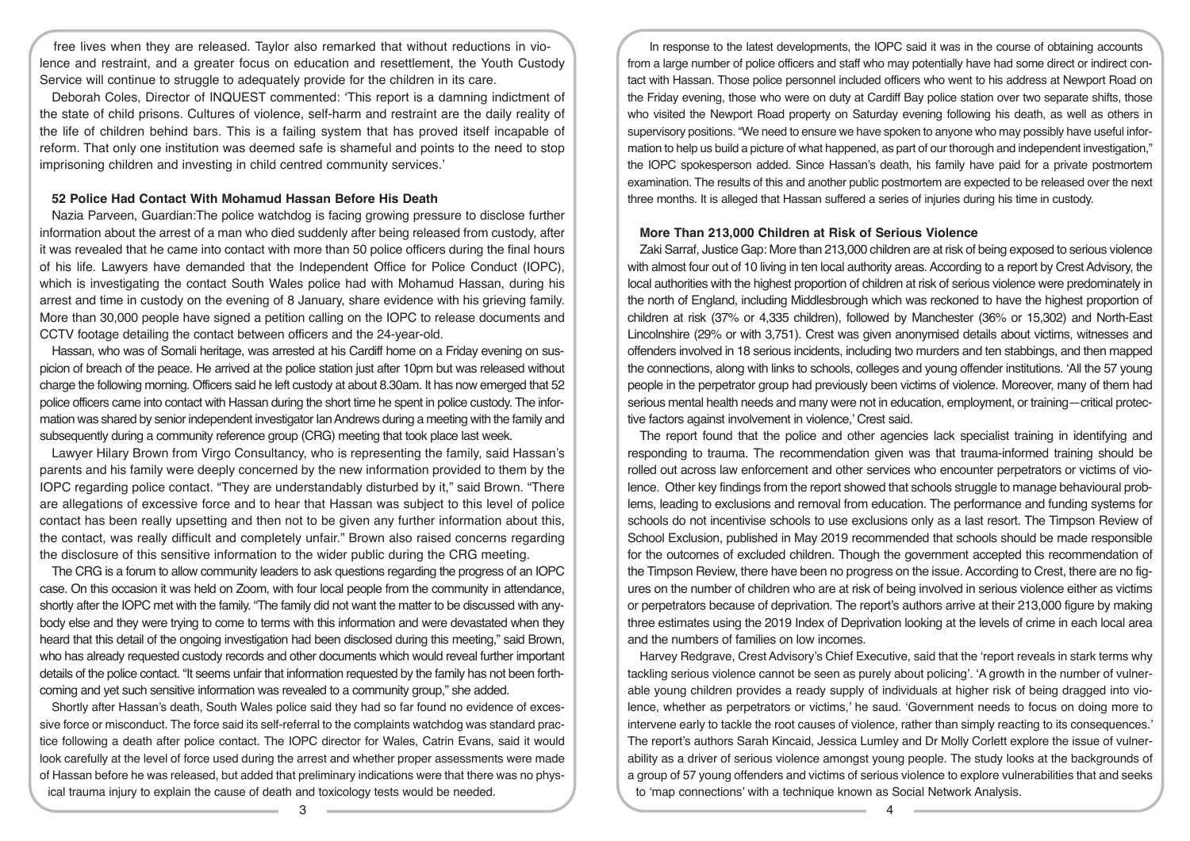free lives when they are released. Taylor also remarked that without reductions in violence and restraint, and a greater focus on education and resettlement, the Youth Custody Service will continue to struggle to adequately provide for the children in its care.

Deborah Coles, Director of INQUEST commented: 'This report is a damning indictment of the state of child prisons. Cultures of violence, self-harm and restraint are the daily reality of the life of children behind bars. This is a failing system that has proved itself incapable of reform. That only one institution was deemed safe is shameful and points to the need to stop imprisoning children and investing in child centred community services.'

## **52 Police Had Contact With Mohamud Hassan Before His Death**

Nazia Parveen, Guardian:The police watchdog is facing growing pressure to disclose further information about the arrest of a man who died suddenly after being released from custody, after it was revealed that he came into contact with more than 50 police officers during the final hours of his life. Lawyers have demanded that the Independent Office for Police Conduct (IOPC), which is investigating the contact South Wales police had with Mohamud Hassan, during his arrest and time in custody on the evening of 8 January, share evidence with his grieving family. More than 30,000 people have signed a petition calling on the IOPC to release documents and CCTV footage detailing the contact between officers and the 24-year-old.

Hassan, who was of Somali heritage, was arrested at his Cardiff home on a Friday evening on suspicion of breach of the peace. He arrived at the police station just after 10pm but was released without charge the following morning. Officers said he left custody at about 8.30am. It has now emerged that 52 police officers came into contact with Hassan during the short time he spent in police custody. The information was shared by senior independent investigator Ian Andrews during a meeting with the family and subsequently during a community reference group (CRG) meeting that took place last week.

Lawyer Hilary Brown from Virgo Consultancy, who is representing the family, said Hassan's parents and his family were deeply concerned by the new information provided to them by the IOPC regarding police contact. "They are understandably disturbed by it," said Brown. "There are allegations of excessive force and to hear that Hassan was subject to this level of police contact has been really upsetting and then not to be given any further information about this, the contact, was really difficult and completely unfair." Brown also raised concerns regarding the disclosure of this sensitive information to the wider public during the CRG meeting.

The CRG is a forum to allow community leaders to ask questions regarding the progress of an IOPC case. On this occasion it was held on Zoom, with four local people from the community in attendance, shortly after the IOPC met with the family. "The family did not want the matter to be discussed with anybody else and they were trying to come to terms with this information and were devastated when they heard that this detail of the ongoing investigation had been disclosed during this meeting," said Brown, who has already requested custody records and other documents which would reveal further important details of the police contact. "It seems unfair that information requested by the family has not been forthcoming and yet such sensitive information was revealed to a community group," she added.

Shortly after Hassan's death, South Wales police said they had so far found no evidence of excessive force or misconduct. The force said its self-referral to the complaints watchdog was standard practice following a death after police contact. The IOPC director for Wales, Catrin Evans, said it would look carefully at the level of force used during the arrest and whether proper assessments were made of Hassan before he was released, but added that preliminary indications were that there was no physical trauma injury to explain the cause of death and toxicology tests would be needed.

In response to the latest developments, the IOPC said it was in the course of obtaining accounts from a large number of police officers and staff who may potentially have had some direct or indirect contact with Hassan. Those police personnel included officers who went to his address at Newport Road on the Friday evening, those who were on duty at Cardiff Bay police station over two separate shifts, those who visited the Newport Road property on Saturday evening following his death, as well as others in supervisory positions. "We need to ensure we have spoken to anyone who may possibly have useful information to help us build a picture of what happened, as part of our thorough and independent investigation," the IOPC spokesperson added. Since Hassan's death, his family have paid for a private postmortem examination. The results of this and another public postmortem are expected to be released over the next three months. It is alleged that Hassan suffered a series of injuries during his time in custody.

#### **More Than 213,000 Children at Risk of Serious Violence**

Zaki Sarraf, Justice Gap: More than 213,000 children are at risk of being exposed to serious violence with almost four out of 10 living in ten local authority areas. According to a report by Crest Advisory, the local authorities with the highest proportion of children at risk of serious violence were predominately in the north of England, including Middlesbrough which was reckoned to have the highest proportion of children at risk (37% or 4,335 children), followed by Manchester (36% or 15,302) and North-East Lincolnshire (29% or with 3,751). Crest was given anonymised details about victims, witnesses and offenders involved in 18 serious incidents, including two murders and ten stabbings, and then mapped the connections, along with links to schools, colleges and young offender institutions. 'All the 57 young people in the perpetrator group had previously been victims of violence. Moreover, many of them had serious mental health needs and many were not in education, employment, or training—critical protective factors against involvement in violence,' Crest said.

The report found that the police and other agencies lack specialist training in identifying and responding to trauma. The recommendation given was that trauma-informed training should be rolled out across law enforcement and other services who encounter perpetrators or victims of violence. Other key findings from the report showed that schools struggle to manage behavioural problems, leading to exclusions and removal from education. The performance and funding systems for schools do not incentivise schools to use exclusions only as a last resort. The Timpson Review of School Exclusion, published in May 2019 recommended that schools should be made responsible for the outcomes of excluded children. Though the government accepted this recommendation of the Timpson Review, there have been no progress on the issue. According to Crest, there are no figures on the number of children who are at risk of being involved in serious violence either as victims or perpetrators because of deprivation. The report's authors arrive at their 213,000 figure by making three estimates using the 2019 Index of Deprivation looking at the levels of crime in each local area and the numbers of families on low incomes.

Harvey Redgrave, Crest Advisory's Chief Executive, said that the 'report reveals in stark terms why tackling serious violence cannot be seen as purely about policing'. 'A growth in the number of vulnerable young children provides a ready supply of individuals at higher risk of being dragged into violence, whether as perpetrators or victims,' he saud. 'Government needs to focus on doing more to intervene early to tackle the root causes of violence, rather than simply reacting to its consequences.' The report's authors Sarah Kincaid, Jessica Lumley and Dr Molly Corlett explore the issue of vulnerability as a driver of serious violence amongst young people. The study looks at the backgrounds of a group of 57 young offenders and victims of serious violence to explore vulnerabilities that and seeks to 'map connections' with a technique known as Social Network Analysis.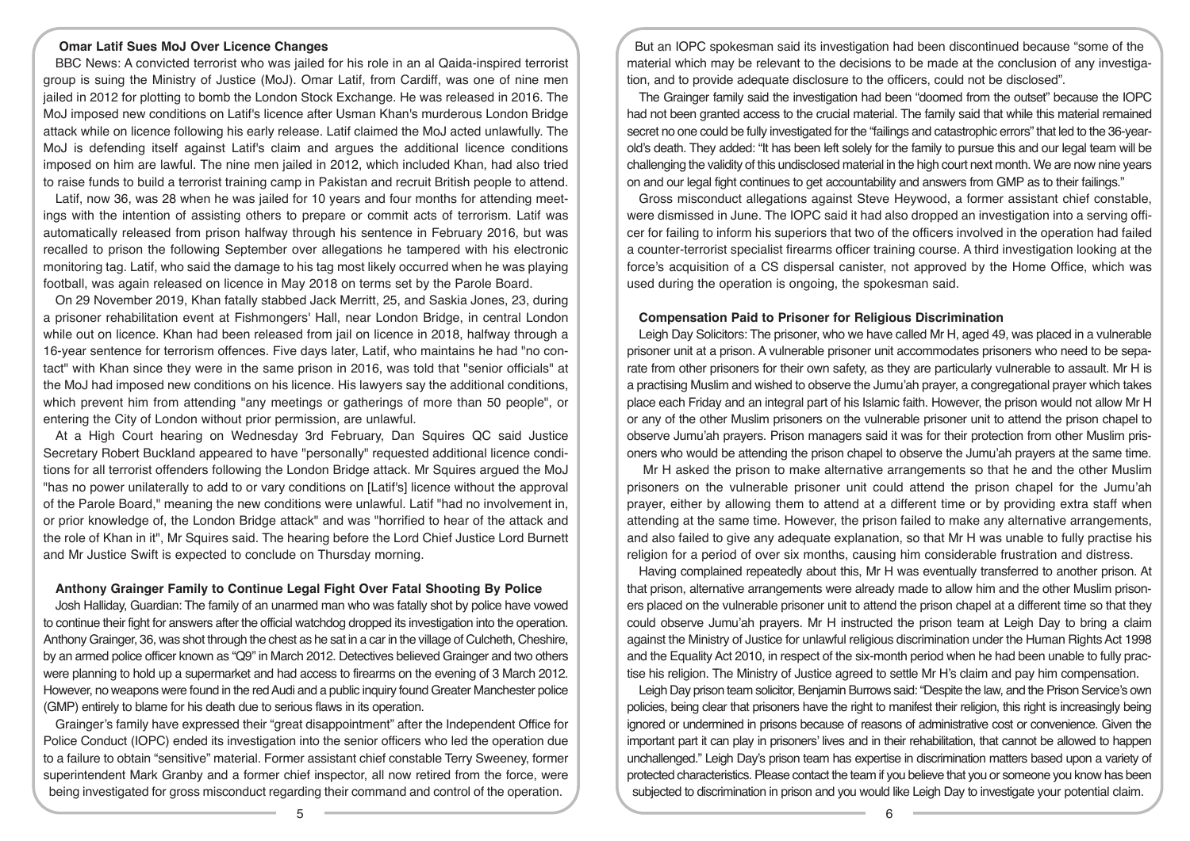#### **Omar Latif Sues MoJ Over Licence Changes**

BBC News: A convicted terrorist who was jailed for his role in an al Qaida-inspired terrorist group is suing the Ministry of Justice (MoJ). Omar Latif, from Cardiff, was one of nine men jailed in 2012 for plotting to bomb the London Stock Exchange. He was released in 2016. The MoJ imposed new conditions on Latif's licence after Usman Khan's murderous London Bridge attack while on licence following his early release. Latif claimed the MoJ acted unlawfully. The MoJ is defending itself against Latif's claim and argues the additional licence conditions imposed on him are lawful. The nine men jailed in 2012, which included Khan, had also tried to raise funds to build a terrorist training camp in Pakistan and recruit British people to attend.

Latif, now 36, was 28 when he was jailed for 10 years and four months for attending meetings with the intention of assisting others to prepare or commit acts of terrorism. Latif was automatically released from prison halfway through his sentence in February 2016, but was recalled to prison the following September over allegations he tampered with his electronic monitoring tag. Latif, who said the damage to his tag most likely occurred when he was playing football, was again released on licence in May 2018 on terms set by the Parole Board.

On 29 November 2019, Khan fatally stabbed Jack Merritt, 25, and Saskia Jones, 23, during a prisoner rehabilitation event at Fishmongers' Hall, near London Bridge, in central London while out on licence. Khan had been released from jail on licence in 2018, halfway through a 16-year sentence for terrorism offences. Five days later, Latif, who maintains he had "no contact" with Khan since they were in the same prison in 2016, was told that "senior officials" at the MoJ had imposed new conditions on his licence. His lawyers say the additional conditions, which prevent him from attending "any meetings or gatherings of more than 50 people", or entering the City of London without prior permission, are unlawful.

At a High Court hearing on Wednesday 3rd February, Dan Squires QC said Justice Secretary Robert Buckland appeared to have "personally" requested additional licence conditions for all terrorist offenders following the London Bridge attack. Mr Squires argued the MoJ "has no power unilaterally to add to or vary conditions on [Latif's] licence without the approval of the Parole Board," meaning the new conditions were unlawful. Latif "had no involvement in, or prior knowledge of, the London Bridge attack" and was "horrified to hear of the attack and the role of Khan in it", Mr Squires said. The hearing before the Lord Chief Justice Lord Burnett and Mr Justice Swift is expected to conclude on Thursday morning.

#### **Anthony Grainger Family to Continue Legal Fight Over Fatal Shooting By Police**

Josh Halliday, Guardian: The family of an unarmed man who was fatally shot by police have vowed to continue their fight for answers after the official watchdog dropped its investigation into the operation. Anthony Grainger, 36, was shot through the chest as he sat in a car in the village of Culcheth, Cheshire, by an armed police officer known as "Q9" in March 2012. Detectives believed Grainger and two others were planning to hold up a supermarket and had access to firearms on the evening of 3 March 2012. However, no weapons were found in the red Audi and a public inquiry found Greater Manchester police (GMP) entirely to blame for his death due to serious flaws in its operation.

Grainger's family have expressed their "great disappointment" after the Independent Office for Police Conduct (IOPC) ended its investigation into the senior officers who led the operation due to a failure to obtain "sensitive" material. Former assistant chief constable Terry Sweeney, former superintendent Mark Granby and a former chief inspector, all now retired from the force, were being investigated for gross misconduct regarding their command and control of the operation.

But an IOPC spokesman said its investigation had been discontinued because "some of the material which may be relevant to the decisions to be made at the conclusion of any investigation, and to provide adequate disclosure to the officers, could not be disclosed".

The Grainger family said the investigation had been "doomed from the outset" because the IOPC had not been granted access to the crucial material. The family said that while this material remained secret no one could be fully investigated for the "failings and catastrophic errors" that led to the 36-yearold's death. They added: "It has been left solely for the family to pursue this and our legal team will be challenging the validity of this undisclosed material in the high court next month. We are now nine years on and our legal fight continues to get accountability and answers from GMP as to their failings."

Gross misconduct allegations against Steve Heywood, a former assistant chief constable, were dismissed in June. The IOPC said it had also dropped an investigation into a serving officer for failing to inform his superiors that two of the officers involved in the operation had failed a counter-terrorist specialist firearms officer training course. A third investigation looking at the force's acquisition of a CS dispersal canister, not approved by the Home Office, which was used during the operation is ongoing, the spokesman said.

#### **Compensation Paid to Prisoner for Religious Discrimination**

Leigh Day Solicitors: The prisoner, who we have called Mr H, aged 49, was placed in a vulnerable prisoner unit at a prison. A vulnerable prisoner unit accommodates prisoners who need to be separate from other prisoners for their own safety, as they are particularly vulnerable to assault. Mr H is a practising Muslim and wished to observe the Jumu'ah prayer, a congregational prayer which takes place each Friday and an integral part of his Islamic faith. However, the prison would not allow Mr H or any of the other Muslim prisoners on the vulnerable prisoner unit to attend the prison chapel to observe Jumu'ah prayers. Prison managers said it was for their protection from other Muslim prisoners who would be attending the prison chapel to observe the Jumu'ah prayers at the same time.

 Mr H asked the prison to make alternative arrangements so that he and the other Muslim prisoners on the vulnerable prisoner unit could attend the prison chapel for the Jumu'ah prayer, either by allowing them to attend at a different time or by providing extra staff when attending at the same time. However, the prison failed to make any alternative arrangements, and also failed to give any adequate explanation, so that Mr H was unable to fully practise his religion for a period of over six months, causing him considerable frustration and distress.

Having complained repeatedly about this, Mr H was eventually transferred to another prison. At that prison, alternative arrangements were already made to allow him and the other Muslim prisoners placed on the vulnerable prisoner unit to attend the prison chapel at a different time so that they could observe Jumu'ah prayers. Mr H instructed the prison team at Leigh Day to bring a claim against the Ministry of Justice for unlawful religious discrimination under the Human Rights Act 1998 and the Equality Act 2010, in respect of the six-month period when he had been unable to fully practise his religion. The Ministry of Justice agreed to settle Mr H's claim and pay him compensation.

Leigh Day prison team solicitor, Benjamin Burrows said: "Despite the law, and the Prison Service's own policies, being clear that prisoners have the right to manifest their religion, this right is increasingly being ignored or undermined in prisons because of reasons of administrative cost or convenience. Given the important part it can play in prisoners' lives and in their rehabilitation, that cannot be allowed to happen unchallenged." Leigh Day's prison team has expertise in discrimination matters based upon a variety of protected characteristics. Please contact the team if you believe that you or someone you know has been subjected to discrimination in prison and you would like Leigh Day to investigate your potential claim.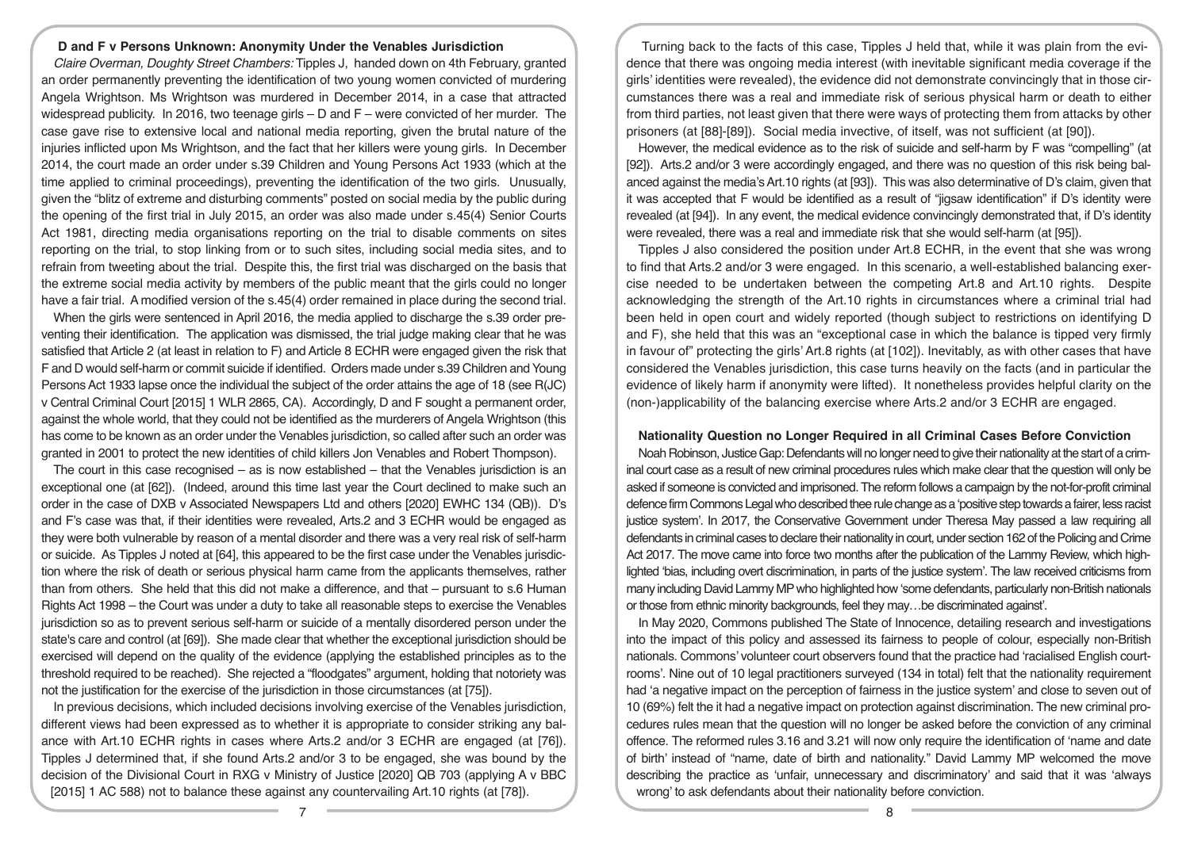### **D and F v Persons Unknown: Anonymity Under the Venables Jurisdiction**

*Claire Overman, Doughty Street Chambers:* Tipples J, handed down on 4th February, granted an order permanently preventing the identification of two young women convicted of murdering Angela Wrightson. Ms Wrightson was murdered in December 2014, in a case that attracted widespread publicity. In 2016, two teenage girls – D and F – were convicted of her murder. The case gave rise to extensive local and national media reporting, given the brutal nature of the injuries inflicted upon Ms Wrightson, and the fact that her killers were young girls. In December 2014, the court made an order under s.39 Children and Young Persons Act 1933 (which at the time applied to criminal proceedings), preventing the identification of the two girls. Unusually, given the "blitz of extreme and disturbing comments" posted on social media by the public during the opening of the first trial in July 2015, an order was also made under s.45(4) Senior Courts Act 1981, directing media organisations reporting on the trial to disable comments on sites reporting on the trial, to stop linking from or to such sites, including social media sites, and to refrain from tweeting about the trial. Despite this, the first trial was discharged on the basis that the extreme social media activity by members of the public meant that the girls could no longer have a fair trial. A modified version of the s.45(4) order remained in place during the second trial.

When the girls were sentenced in April 2016, the media applied to discharge the s.39 order preventing their identification. The application was dismissed, the trial judge making clear that he was satisfied that Article 2 (at least in relation to F) and Article 8 ECHR were engaged given the risk that F and D would self-harm or commit suicide if identified. Orders made under s.39 Children and Young Persons Act 1933 lapse once the individual the subject of the order attains the age of 18 (see R(JC) v Central Criminal Court [2015] 1 WLR 2865, CA). Accordingly, D and F sought a permanent order, against the whole world, that they could not be identified as the murderers of Angela Wrightson (this has come to be known as an order under the Venables jurisdiction, so called after such an order was granted in 2001 to protect the new identities of child killers Jon Venables and Robert Thompson).

The court in this case recognised – as is now established – that the Venables jurisdiction is an exceptional one (at [62]). (Indeed, around this time last year the Court declined to make such an order in the case of DXB v Associated Newspapers Ltd and others [2020] EWHC 134 (QB)). D's and F's case was that, if their identities were revealed, Arts.2 and 3 ECHR would be engaged as they were both vulnerable by reason of a mental disorder and there was a very real risk of self-harm or suicide. As Tipples J noted at [64], this appeared to be the first case under the Venables jurisdiction where the risk of death or serious physical harm came from the applicants themselves, rather than from others. She held that this did not make a difference, and that – pursuant to s.6 Human Rights Act 1998 – the Court was under a duty to take all reasonable steps to exercise the Venables jurisdiction so as to prevent serious self-harm or suicide of a mentally disordered person under the state's care and control (at [69]). She made clear that whether the exceptional jurisdiction should be exercised will depend on the quality of the evidence (applying the established principles as to the threshold required to be reached). She rejected a "floodgates" argument, holding that notoriety was not the justification for the exercise of the jurisdiction in those circumstances (at [75]).

In previous decisions, which included decisions involving exercise of the Venables jurisdiction, different views had been expressed as to whether it is appropriate to consider striking any balance with Art.10 ECHR rights in cases where Arts.2 and/or 3 ECHR are engaged (at [76]). Tipples J determined that, if she found Arts.2 and/or 3 to be engaged, she was bound by the decision of the Divisional Court in RXG v Ministry of Justice [2020] QB 703 (applying A v BBC [2015] 1 AC 588) not to balance these against any countervailing Art.10 rights (at [78]).

Turning back to the facts of this case, Tipples J held that, while it was plain from the evidence that there was ongoing media interest (with inevitable significant media coverage if the girls' identities were revealed), the evidence did not demonstrate convincingly that in those circumstances there was a real and immediate risk of serious physical harm or death to either from third parties, not least given that there were ways of protecting them from attacks by other prisoners (at [88]-[89]). Social media invective, of itself, was not sufficient (at [90]).

However, the medical evidence as to the risk of suicide and self-harm by F was "compelling" (at [92]). Arts.2 and/or 3 were accordingly engaged, and there was no question of this risk being balanced against the media's Art.10 rights (at [93]). This was also determinative of D's claim, given that it was accepted that F would be identified as a result of "jigsaw identification" if D's identity were revealed (at [94]). In any event, the medical evidence convincingly demonstrated that, if D's identity were revealed, there was a real and immediate risk that she would self-harm (at [95]).

Tipples J also considered the position under Art.8 ECHR, in the event that she was wrong to find that Arts.2 and/or 3 were engaged. In this scenario, a well-established balancing exercise needed to be undertaken between the competing Art.8 and Art.10 rights. Despite acknowledging the strength of the Art.10 rights in circumstances where a criminal trial had been held in open court and widely reported (though subject to restrictions on identifying D and F), she held that this was an "exceptional case in which the balance is tipped very firmly in favour of" protecting the girls' Art.8 rights (at [102]). Inevitably, as with other cases that have considered the Venables jurisdiction, this case turns heavily on the facts (and in particular the evidence of likely harm if anonymity were lifted). It nonetheless provides helpful clarity on the (non-)applicability of the balancing exercise where Arts.2 and/or 3 ECHR are engaged.

## **Nationality Question no Longer Required in all Criminal Cases Before Conviction**

Noah Robinson, Justice Gap: Defendants will no longer need to give their nationality at the start of a criminal court case as a result of new criminal procedures rules which make clear that the question will only be asked if someone is convicted and imprisoned. The reform follows a campaign by the not-for-profit criminal defence firm Commons Legal who described thee rule change as a 'positive step towards a fairer, less racist justice system'. In 2017, the Conservative Government under Theresa May passed a law requiring all defendants in criminal cases to declare their nationality in court, under section 162 of the Policing and Crime Act 2017. The move came into force two months after the publication of the Lammy Review, which highlighted 'bias, including overt discrimination, in parts of the justice system'. The law received criticisms from many including David Lammy MP who highlighted how 'some defendants, particularly non-British nationals or those from ethnic minority backgrounds, feel they may…be discriminated against'.

In May 2020, Commons published The State of Innocence, detailing research and investigations into the impact of this policy and assessed its fairness to people of colour, especially non-British nationals. Commons' volunteer court observers found that the practice had 'racialised English courtrooms'. Nine out of 10 legal practitioners surveyed (134 in total) felt that the nationality requirement had 'a negative impact on the perception of fairness in the justice system' and close to seven out of 10 (69%) felt the it had a negative impact on protection against discrimination. The new criminal procedures rules mean that the question will no longer be asked before the conviction of any criminal offence. The reformed rules 3.16 and 3.21 will now only require the identification of 'name and date of birth' instead of "name, date of birth and nationality." David Lammy MP welcomed the move describing the practice as 'unfair, unnecessary and discriminatory' and said that it was 'always wrong' to ask defendants about their nationality before conviction.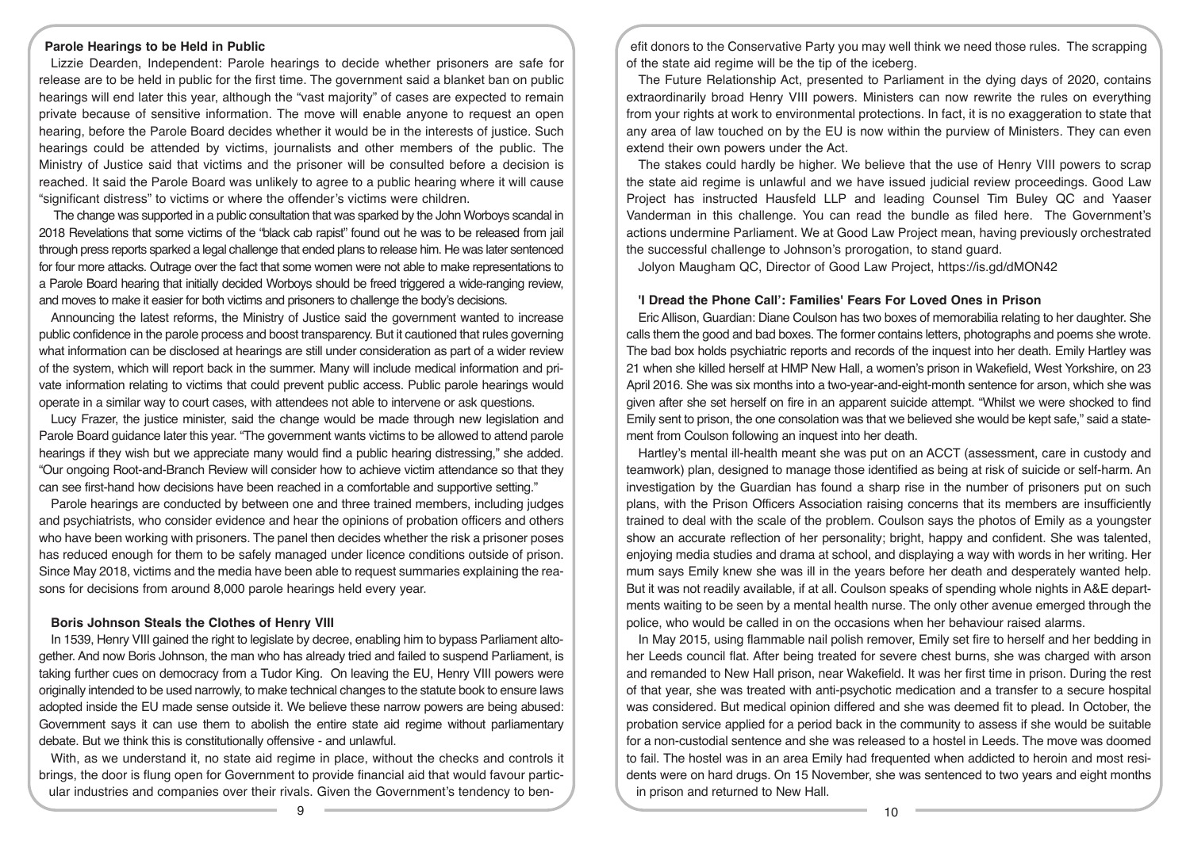#### **Parole Hearings to be Held in Public**

Lizzie Dearden, Independent: Parole hearings to decide whether prisoners are safe for release are to be held in public for the first time. The government said a blanket ban on public hearings will end later this year, although the "vast majority" of cases are expected to remain private because of sensitive information. The move will enable anyone to request an open hearing, before the Parole Board decides whether it would be in the interests of justice. Such hearings could be attended by victims, journalists and other members of the public. The Ministry of Justice said that victims and the prisoner will be consulted before a decision is reached. It said the Parole Board was unlikely to agree to a public hearing where it will cause "significant distress" to victims or where the offender's victims were children.

 The change was supported in a public consultation that was sparked by the John Worboys scandal in 2018 Revelations that some victims of the "black cab rapist" found out he was to be released from jail through press reports sparked a legal challenge that ended plans to release him. He was later sentenced for four more attacks. Outrage over the fact that some women were not able to make representations to a Parole Board hearing that initially decided Worboys should be freed triggered a wide-ranging review, and moves to make it easier for both victims and prisoners to challenge the body's decisions.

Announcing the latest reforms, the Ministry of Justice said the government wanted to increase public confidence in the parole process and boost transparency. But it cautioned that rules governing what information can be disclosed at hearings are still under consideration as part of a wider review of the system, which will report back in the summer. Many will include medical information and private information relating to victims that could prevent public access. Public parole hearings would operate in a similar way to court cases, with attendees not able to intervene or ask questions.

Lucy Frazer, the justice minister, said the change would be made through new legislation and Parole Board guidance later this year. "The government wants victims to be allowed to attend parole hearings if they wish but we appreciate many would find a public hearing distressing," she added. "Our ongoing Root-and-Branch Review will consider how to achieve victim attendance so that they can see first-hand how decisions have been reached in a comfortable and supportive setting."

Parole hearings are conducted by between one and three trained members, including judges and psychiatrists, who consider evidence and hear the opinions of probation officers and others who have been working with prisoners. The panel then decides whether the risk a prisoner poses has reduced enough for them to be safely managed under licence conditions outside of prison. Since May 2018, victims and the media have been able to request summaries explaining the reasons for decisions from around 8,000 parole hearings held every year.

#### **Boris Johnson Steals the Clothes of Henry VIII**

In 1539, Henry VIII gained the right to legislate by decree, enabling him to bypass Parliament altogether. And now Boris Johnson, the man who has already tried and failed to suspend Parliament, is taking further cues on democracy from a Tudor King. On leaving the EU, Henry VIII powers were originally intended to be used narrowly, to make technical changes to the statute book to ensure laws adopted inside the EU made sense outside it. We believe these narrow powers are being abused: Government says it can use them to abolish the entire state aid regime without parliamentary debate. But we think this is constitutionally offensive - and unlawful.

With, as we understand it, no state aid regime in place, without the checks and controls it brings, the door is flung open for Government to provide financial aid that would favour particular industries and companies over their rivals. Given the Government's tendency to ben-

efit donors to the Conservative Party you may well think we need those rules. The scrapping of the state aid regime will be the tip of the iceberg.

The Future Relationship Act, presented to Parliament in the dying days of 2020, contains extraordinarily broad Henry VIII powers. Ministers can now rewrite the rules on everything from your rights at work to environmental protections. In fact, it is no exaggeration to state that any area of law touched on by the EU is now within the purview of Ministers. They can even extend their own powers under the Act.

The stakes could hardly be higher. We believe that the use of Henry VIII powers to scrap the state aid regime is unlawful and we have issued judicial review proceedings. Good Law Project has instructed Hausfeld LLP and leading Counsel Tim Buley QC and Yaaser Vanderman in this challenge. You can read the bundle as filed here. The Government's actions undermine Parliament. We at Good Law Project mean, having previously orchestrated the successful challenge to Johnson's prorogation, to stand guard.

Jolyon Maugham QC, Director of Good Law Project, https://is.gd/dMON42

# **'I Dread the Phone Call': Families' Fears For Loved Ones in Prison**

Eric Allison, Guardian: Diane Coulson has two boxes of memorabilia relating to her daughter. She calls them the good and bad boxes. The former contains letters, photographs and poems she wrote. The bad box holds psychiatric reports and records of the inquest into her death. Emily Hartley was 21 when she killed herself at HMP New Hall, a women's prison in Wakefield, West Yorkshire, on 23 April 2016. She was six months into a two-year-and-eight-month sentence for arson, which she was given after she set herself on fire in an apparent suicide attempt. "Whilst we were shocked to find Emily sent to prison, the one consolation was that we believed she would be kept safe," said a statement from Coulson following an inquest into her death.

Hartley's mental ill-health meant she was put on an ACCT (assessment, care in custody and teamwork) plan, designed to manage those identified as being at risk of suicide or self-harm. An investigation by the Guardian has found a sharp rise in the number of prisoners put on such plans, with the Prison Officers Association raising concerns that its members are insufficiently trained to deal with the scale of the problem. Coulson says the photos of Emily as a youngster show an accurate reflection of her personality; bright, happy and confident. She was talented, enjoying media studies and drama at school, and displaying a way with words in her writing. Her mum says Emily knew she was ill in the years before her death and desperately wanted help. But it was not readily available, if at all. Coulson speaks of spending whole nights in A&E departments waiting to be seen by a mental health nurse. The only other avenue emerged through the police, who would be called in on the occasions when her behaviour raised alarms.

In May 2015, using flammable nail polish remover, Emily set fire to herself and her bedding in her Leeds council flat. After being treated for severe chest burns, she was charged with arson and remanded to New Hall prison, near Wakefield. It was her first time in prison. During the rest of that year, she was treated with anti-psychotic medication and a transfer to a secure hospital was considered. But medical opinion differed and she was deemed fit to plead. In October, the probation service applied for a period back in the community to assess if she would be suitable for a non-custodial sentence and she was released to a hostel in Leeds. The move was doomed to fail. The hostel was in an area Emily had frequented when addicted to heroin and most residents were on hard drugs. On 15 November, she was sentenced to two years and eight months in prison and returned to New Hall.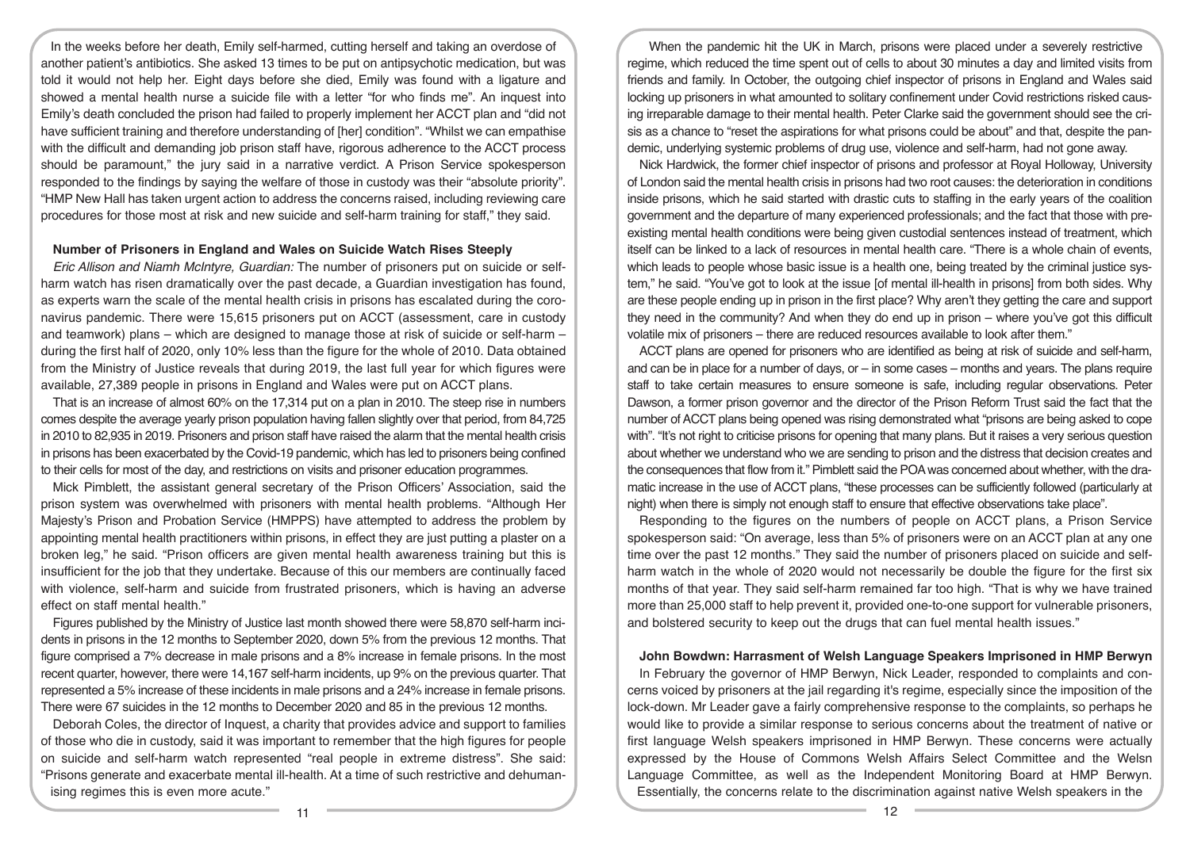In the weeks before her death, Emily self-harmed, cutting herself and taking an overdose of another patient's antibiotics. She asked 13 times to be put on antipsychotic medication, but was told it would not help her. Eight days before she died, Emily was found with a ligature and showed a mental health nurse a suicide file with a letter "for who finds me". An inquest into Emily's death concluded the prison had failed to properly implement her ACCT plan and "did not have sufficient training and therefore understanding of [her] condition". "Whilst we can empathise with the difficult and demanding job prison staff have, rigorous adherence to the ACCT process should be paramount," the jury said in a narrative verdict. A Prison Service spokesperson responded to the findings by saying the welfare of those in custody was their "absolute priority". "HMP New Hall has taken urgent action to address the concerns raised, including reviewing care procedures for those most at risk and new suicide and self-harm training for staff," they said.

# **Number of Prisoners in England and Wales on Suicide Watch Rises Steeply**

*Eric Allison and Niamh McIntyre, Guardian:* The number of prisoners put on suicide or selfharm watch has risen dramatically over the past decade, a Guardian investigation has found, as experts warn the scale of the mental health crisis in prisons has escalated during the coronavirus pandemic. There were 15,615 prisoners put on ACCT (assessment, care in custody and teamwork) plans – which are designed to manage those at risk of suicide or self-harm – during the first half of 2020, only 10% less than the figure for the whole of 2010. Data obtained from the Ministry of Justice reveals that during 2019, the last full year for which figures were available, 27,389 people in prisons in England and Wales were put on ACCT plans.

That is an increase of almost 60% on the 17,314 put on a plan in 2010. The steep rise in numbers comes despite the average yearly prison population having fallen slightly over that period, from 84,725 in 2010 to 82,935 in 2019. Prisoners and prison staff have raised the alarm that the mental health crisis in prisons has been exacerbated by the Covid-19 pandemic, which has led to prisoners being confined to their cells for most of the day, and restrictions on visits and prisoner education programmes.

Mick Pimblett, the assistant general secretary of the Prison Officers' Association, said the prison system was overwhelmed with prisoners with mental health problems. "Although Her Majesty's Prison and Probation Service (HMPPS) have attempted to address the problem by appointing mental health practitioners within prisons, in effect they are just putting a plaster on a broken leg," he said. "Prison officers are given mental health awareness training but this is insufficient for the job that they undertake. Because of this our members are continually faced with violence, self-harm and suicide from frustrated prisoners, which is having an adverse effect on staff mental health."

Figures published by the Ministry of Justice last month showed there were 58,870 self-harm incidents in prisons in the 12 months to September 2020, down 5% from the previous 12 months. That figure comprised a 7% decrease in male prisons and a 8% increase in female prisons. In the most recent quarter, however, there were 14,167 self-harm incidents, up 9% on the previous quarter. That represented a 5% increase of these incidents in male prisons and a 24% increase in female prisons. There were 67 suicides in the 12 months to December 2020 and 85 in the previous 12 months.

Deborah Coles, the director of Inquest, a charity that provides advice and support to families of those who die in custody, said it was important to remember that the high figures for people on suicide and self-harm watch represented "real people in extreme distress". She said: "Prisons generate and exacerbate mental ill-health. At a time of such restrictive and dehumanising regimes this is even more acute."

When the pandemic hit the UK in March, prisons were placed under a severely restrictive regime, which reduced the time spent out of cells to about 30 minutes a day and limited visits from friends and family. In October, the outgoing chief inspector of prisons in England and Wales said locking up prisoners in what amounted to solitary confinement under Covid restrictions risked causing irreparable damage to their mental health. Peter Clarke said the government should see the crisis as a chance to "reset the aspirations for what prisons could be about" and that, despite the pandemic, underlying systemic problems of drug use, violence and self-harm, had not gone away.

Nick Hardwick, the former chief inspector of prisons and professor at Royal Holloway, University of London said the mental health crisis in prisons had two root causes: the deterioration in conditions inside prisons, which he said started with drastic cuts to staffing in the early years of the coalition government and the departure of many experienced professionals; and the fact that those with preexisting mental health conditions were being given custodial sentences instead of treatment, which itself can be linked to a lack of resources in mental health care. "There is a whole chain of events, which leads to people whose basic issue is a health one, being treated by the criminal justice system," he said. "You've got to look at the issue [of mental ill-health in prisons] from both sides. Why are these people ending up in prison in the first place? Why aren't they getting the care and support they need in the community? And when they do end up in prison – where you've got this difficult volatile mix of prisoners – there are reduced resources available to look after them."

ACCT plans are opened for prisoners who are identified as being at risk of suicide and self-harm, and can be in place for a number of days, or – in some cases – months and years. The plans require staff to take certain measures to ensure someone is safe, including regular observations. Peter Dawson, a former prison governor and the director of the Prison Reform Trust said the fact that the number of ACCT plans being opened was rising demonstrated what "prisons are being asked to cope with". "It's not right to criticise prisons for opening that many plans. But it raises a very serious question about whether we understand who we are sending to prison and the distress that decision creates and the consequences that flow from it." Pimblett said the POA was concerned about whether, with the dramatic increase in the use of ACCT plans, "these processes can be sufficiently followed (particularly at night) when there is simply not enough staff to ensure that effective observations take place".

Responding to the figures on the numbers of people on ACCT plans, a Prison Service spokesperson said: "On average, less than 5% of prisoners were on an ACCT plan at any one time over the past 12 months." They said the number of prisoners placed on suicide and selfharm watch in the whole of 2020 would not necessarily be double the figure for the first six months of that year. They said self-harm remained far too high. "That is why we have trained more than 25,000 staff to help prevent it, provided one-to-one support for vulnerable prisoners, and bolstered security to keep out the drugs that can fuel mental health issues."

#### **John Bowdwn: Harrasment of Welsh Language Speakers Imprisoned in HMP Berwyn**

In February the governor of HMP Berwyn, Nick Leader, responded to complaints and concerns voiced by prisoners at the jail regarding it's regime, especially since the imposition of the lock-down. Mr Leader gave a fairly comprehensive response to the complaints, so perhaps he would like to provide a similar response to serious concerns about the treatment of native or first language Welsh speakers imprisoned in HMP Berwyn. These concerns were actually expressed by the House of Commons Welsh Affairs Select Committee and the Welsn Language Committee, as well as the Independent Monitoring Board at HMP Berwyn. Essentially, the concerns relate to the discrimination against native Welsh speakers in the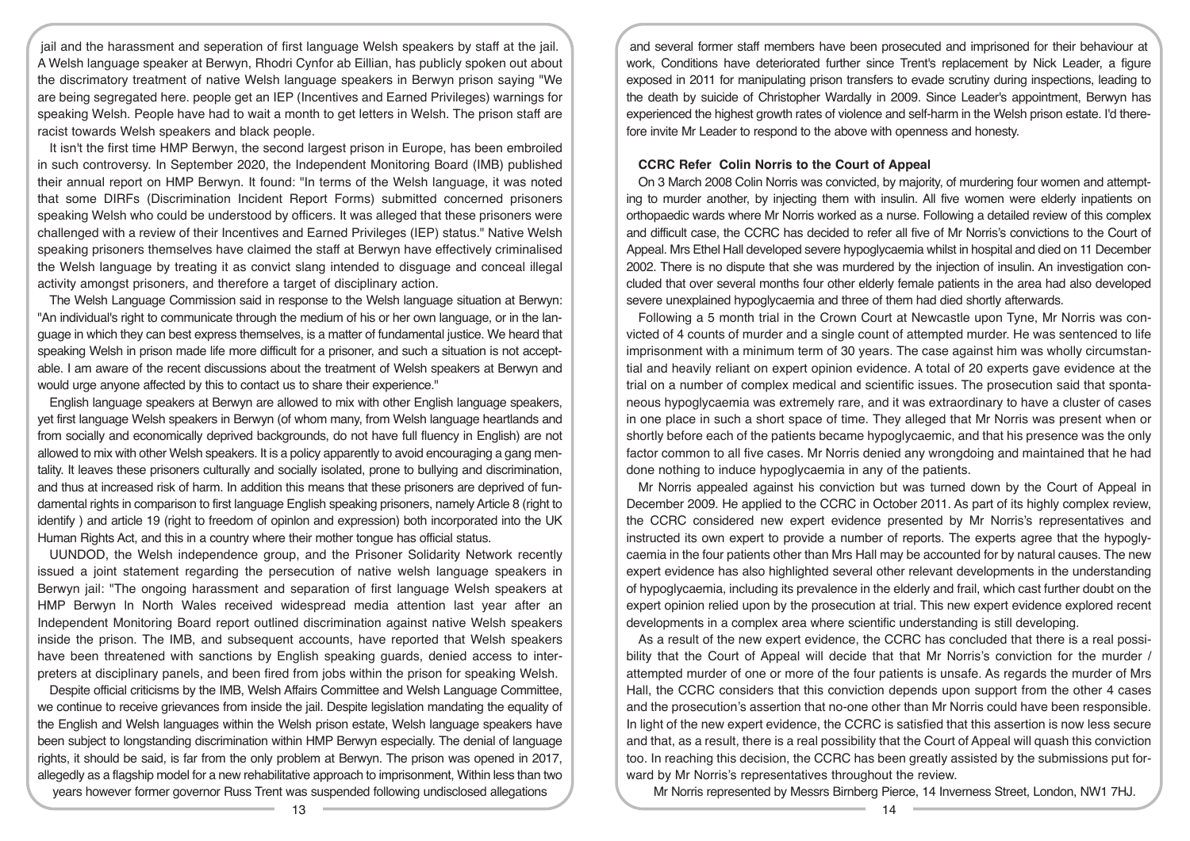jail and the harassment and seperation of first language Welsh speakers by staff at the jail. A Welsh language speaker at Berwyn, Rhodri Cynfor ab Eillian, has publicly spoken out about the discrimatory treatment of native Welsh language speakers in Berwyn prison saying "We are being segregated here. people get an IEP (Incentives and Earned Privileges) warnings for speaking Welsh. People have had to wait a month to get letters in Welsh. The prison staff are racist towards Welsh speakers and black people.

It isn't the first time HMP Berwyn, the second largest prison in Europe, has been embroiled in such controversy. In September 2020, the Independent Monitoring Board (IMB) published their annual report on HMP Berwyn. It found: "In terms of the Welsh language, it was noted that some DIRFs (Discrimination Incident Report Forms) submitted concerned prisoners speaking Welsh who could be understood by officers. It was alleged that these prisoners were challenged with a review of their Incentives and Earned Privileges (IEP) status." Native Welsh speaking prisoners themselves have claimed the staff at Berwyn have effectively criminalised the Welsh language by treating it as convict slang intended to disguage and conceal illegal activity amongst prisoners, and therefore a target of disciplinary action.

The Welsh Language Commission said in response to the Welsh language situation at Berwyn: "An individual's right to communicate through the medium of his or her own language, or in the language in which they can best express themselves, is a matter of fundamental justice. We heard that speaking Welsh in prison made life more difficult for a prisoner, and such a situation is not acceptable. I am aware of the recent discussions about the treatment of Welsh speakers at Berwyn and would urge anyone affected by this to contact us to share their experience."

English language speakers at Berwyn are allowed to mix with other English language speakers, yet first language Welsh speakers in Berwyn (of whom many, from Welsh language heartlands and from socially and economically deprived backgrounds, do not have full fluency in English) are not allowed to mix with other Welsh speakers. It is a policy apparently to avoid encouraging a gang mentality. It leaves these prisoners culturally and socially isolated, prone to bullying and discrimination, and thus at increased risk of harm. In addition this means that these prisoners are deprived of fundamental rights in comparison to first language English speaking prisoners, namely Article 8 (right to identify ) and article 19 (right to freedom of opinlon and expression) both incorporated into the UK Human Rights Act, and this in a country where their mother tongue has official status.

UUNDOD, the Welsh independence group, and the Prisoner Solidarity Network recently issued a joint statement regarding the persecution of native welsh language speakers in Berwyn jail: "The ongoing harassment and separation of first language Welsh speakers at HMP Berwyn ln North Wales received widespread media attention last year after an Independent Monitoring Board report outlined discrimination against native Welsh speakers inside the prison. The IMB, and subsequent accounts, have reported that Welsh speakers have been threatened with sanctions by English speaking guards, denied access to interpreters at disciplinary panels, and been fired from jobs within the prison for speaking Welsh.

Despite official criticisms by the IMB, Welsh Affairs Committee and Welsh Language Committee, we continue to receive grievances from inside the jail. Despite legislation mandating the equality of the English and Welsh languages within the Welsh prison estate, Welsh language speakers have been subject to longstanding discrimination within HMP Berwyn especially. The denial of language rights, it should be said, is far from the only problem at Berwyn. The prison was opened in 2017, allegedly as a flagship model for a new rehabilitative approach to imprisonment, Within less than two years however former governor Russ Trent was suspended following undisclosed allegations

and several former staff members have been prosecuted and imprisoned for their behaviour at work, Conditions have deteriorated further since Trent's replacement by Nick Leader, a figure exposed in 2011 for manipulating prison transfers to evade scrutiny during inspections, leading to the death by suicide of Christopher Wardally in 2009. Since Leader's appointment, Berwyn has experienced the highest growth rates of violence and self-harm in the Welsh prison estate. I'd therefore invite Mr Leader to respond to the above with openness and honesty.

## **CCRC Refer Colin Norris to the Court of Appeal**

On 3 March 2008 Colin Norris was convicted, by majority, of murdering four women and attempting to murder another, by injecting them with insulin. All five women were elderly inpatients on orthopaedic wards where Mr Norris worked as a nurse. Following a detailed review of this complex and difficult case, the CCRC has decided to refer all five of Mr Norris's convictions to the Court of Appeal. Mrs Ethel Hall developed severe hypoglycaemia whilst in hospital and died on 11 December 2002. There is no dispute that she was murdered by the injection of insulin. An investigation concluded that over several months four other elderly female patients in the area had also developed severe unexplained hypoglycaemia and three of them had died shortly afterwards.

Following a 5 month trial in the Crown Court at Newcastle upon Tyne, Mr Norris was convicted of 4 counts of murder and a single count of attempted murder. He was sentenced to life imprisonment with a minimum term of 30 years. The case against him was wholly circumstantial and heavily reliant on expert opinion evidence. A total of 20 experts gave evidence at the trial on a number of complex medical and scientific issues. The prosecution said that spontaneous hypoglycaemia was extremely rare, and it was extraordinary to have a cluster of cases in one place in such a short space of time. They alleged that Mr Norris was present when or shortly before each of the patients became hypoglycaemic, and that his presence was the only factor common to all five cases. Mr Norris denied any wrongdoing and maintained that he had done nothing to induce hypoglycaemia in any of the patients.

Mr Norris appealed against his conviction but was turned down by the Court of Appeal in December 2009. He applied to the CCRC in October 2011. As part of its highly complex review, the CCRC considered new expert evidence presented by Mr Norris's representatives and instructed its own expert to provide a number of reports. The experts agree that the hypoglycaemia in the four patients other than Mrs Hall may be accounted for by natural causes. The new expert evidence has also highlighted several other relevant developments in the understanding of hypoglycaemia, including its prevalence in the elderly and frail, which cast further doubt on the expert opinion relied upon by the prosecution at trial. This new expert evidence explored recent developments in a complex area where scientific understanding is still developing.

As a result of the new expert evidence, the CCRC has concluded that there is a real possibility that the Court of Appeal will decide that that Mr Norris's conviction for the murder / attempted murder of one or more of the four patients is unsafe. As regards the murder of Mrs Hall, the CCRC considers that this conviction depends upon support from the other 4 cases and the prosecution's assertion that no-one other than Mr Norris could have been responsible. In light of the new expert evidence, the CCRC is satisfied that this assertion is now less secure and that, as a result, there is a real possibility that the Court of Appeal will quash this conviction too. In reaching this decision, the CCRC has been greatly assisted by the submissions put forward by Mr Norris's representatives throughout the review.

Mr Norris represented by Messrs Birnberg Pierce, 14 Inverness Street, London, NW1 7HJ.